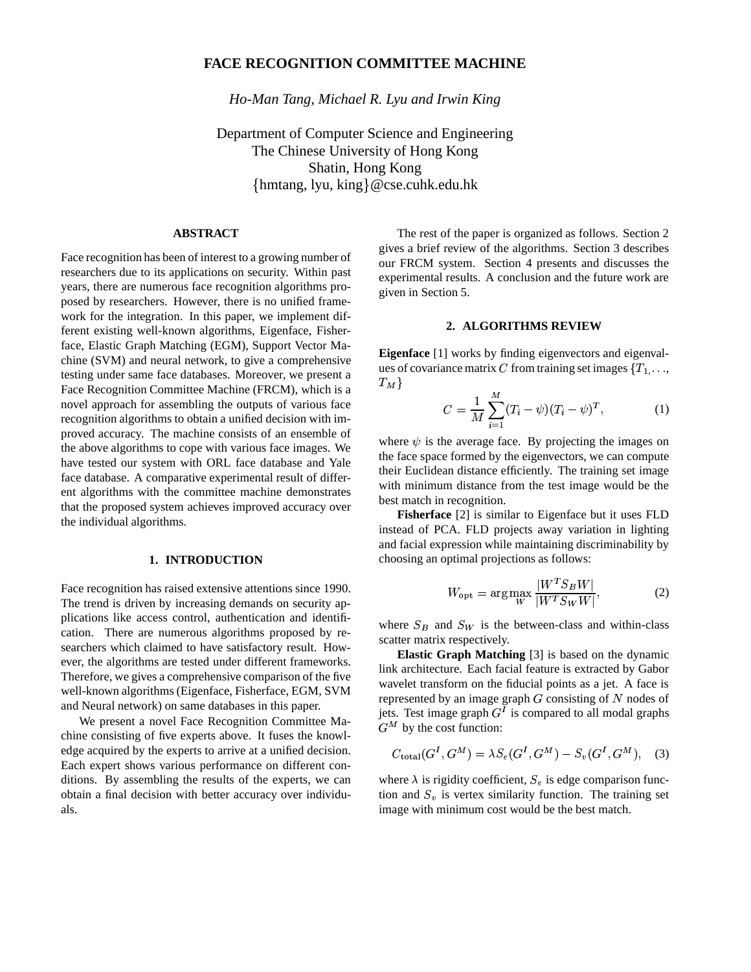# **FACE RECOGNITION COMMITTEE MACHINE**

*Ho-Man Tang, Michael R. Lyu and Irwin King*

Department of Computer Science and Engineering The Chinese University of Hong Kong Shatin, Hong Kong {hmtang, lyu, king}@cse.cuhk.edu.hk

## **ABSTRACT**

Face recognition has been of interest to a growing number of researchers due to its applications on security. Within past years, there are numerous face recognition algorithms proposed by researchers. However, there is no unified framework for the integration. In this paper, we implement different existing well-known algorithms, Eigenface, Fisherface, Elastic Graph Matching (EGM), Support Vector Machine (SVM) and neural network, to give a comprehensive testing under same face databases. Moreover, we present a Face Recognition Committee Machine (FRCM), which is a novel approach for assembling the outputs of various face recognition algorithms to obtain a unified decision with improved accuracy. The machine consists of an ensemble of the above algorithms to cope with various face images. We have tested our system with ORL face database and Yale face database. A comparative experimental result of different algorithms with the committee machine demonstrates that the proposed system achieves improved accuracy over the individual algorithms.

## **1. INTRODUCTION**

Face recognition has raised extensive attentions since 1990. The trend is driven by increasing demands on security applications like access control, authentication and identification. There are numerous algorithms proposed by researchers which claimed to have satisfactory result. However, the algorithms are tested under different frameworks. Therefore, we gives a comprehensive comparison of the five well-known algorithms (Eigenface, Fisherface, EGM, SVM and Neural network) on same databases in this paper.

We present a novel Face Recognition Committee Machine consisting of five experts above. It fuses the knowledge acquired by the experts to arrive at a unified decision. Each expert shows various performance on different conditions. By assembling the results of the experts, we can obtain a final decision with better accuracy over individuals.

The rest of the paper is organized as follows. Section 2 gives a brief review of the algorithms. Section 3 describes our FRCM system. Section 4 presents and discusses the experimental results. A conclusion and the future work are given in Section 5.

### **2. ALGORITHMS REVIEW**

**Eigenface** [1] works by finding eigenvectors and eigenvalues of covariance matrix C from training set images  $\{T_1, \ldots, \}$  $T_M$ 

$$
C = \frac{1}{M} \sum_{i=1}^{M} (T_i - \psi)(T_i - \psi)^T, \tag{1}
$$

where  $\psi$  is the average face. By projecting the images on the face space formed by the eigenvectors, we can compute their Euclidean distance efficiently. The training set image with minimum distance from the test image would be the best match in recognition.

**Fisherface** [2] is similar to Eigenface but it uses FLD instead of PCA. FLD projects away variation in lighting and facial expression while maintaining discriminability by choosing an optimal projections as follows:

$$
W_{\text{opt}} = \arg \max_{W} \frac{|W^T S_B W|}{|W^T S_W W|},
$$
 (2)

where  $S_B$  and  $S_W$  is the between-class and within-class scatter matrix respectively.

**Elastic Graph Matching** [3] is based on the dynamic link architecture. Each facial feature is extracted by Gabor wavelet transform on the fiducial points as a jet. A face is represented by an image graph  $G$  consisting of  $N$  nodes of jets. Test image graph  $G<sup>I</sup>$  is compared to all modal graphs  $G^M$  by the cost function:

$$
C_{\text{total}}(G^I, G^M) = \lambda S_e(G^I, G^M) - S_v(G^I, G^M), \quad (3)
$$

where  $\lambda$  is rigidity coefficient,  $S_e$  is edge comparison funcwhere  $\lambda$  is rigidity coefficient,  $S_e$  is edge comparison function and  $S_v$  is vertex similarity function. The training set image with minimum cost would be the best match.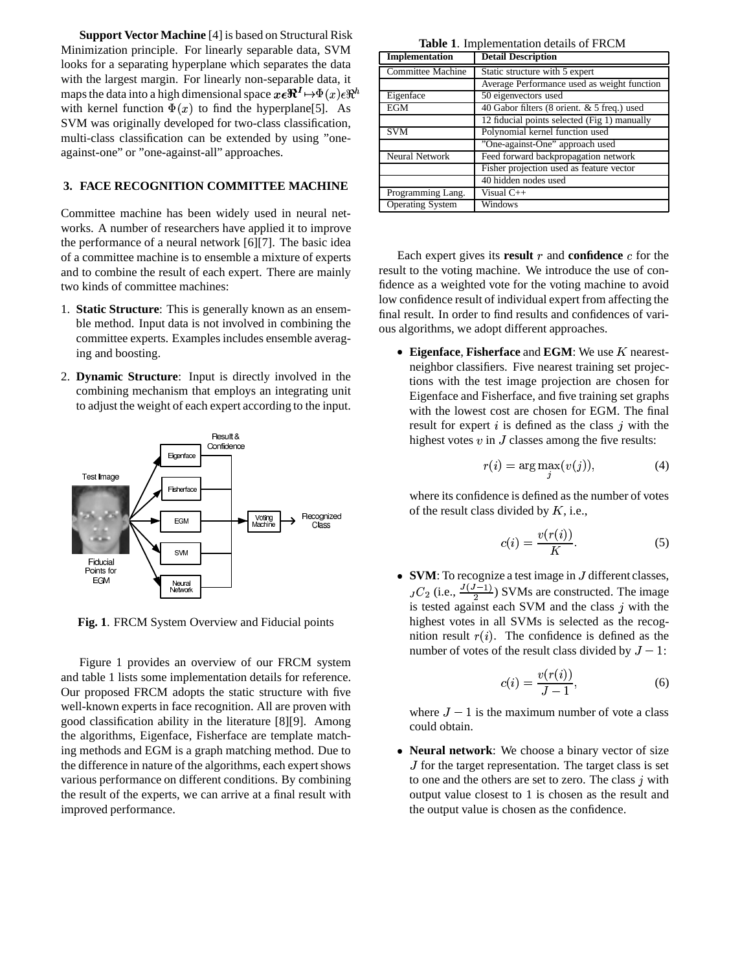**Support Vector Machine** [4] is based on Structural Risk Minimization principle. For linearly separable data, SVM looks for a separating hyperplane which separates the data with the largest margin. For linearly non-separable data, it maps the data into a high dimensional space  $x \in \mathbb{R}^l \mapsto \Phi(x) \in \mathbb{R}^h$ maps the data into a high dimensional space  $x \in \mathbb{R}^1 \mapsto \Phi(x) \in \mathbb{R}$ <br>with kernel function  $\Phi(x)$  to find the hyperplane[5]. As SVM was originally developed for two-class classification, multi-class classification can be extended by using "oneagainst-one" or "one-against-all" approaches.

## **3. FACE RECOGNITION COMMITTEE MACHINE**

Committee machine has been widely used in neural networks. A number of researchers have applied it to improve the performance of a neural network [6][7]. The basic idea of a committee machine is to ensemble a mixture of experts and to combine the result of each expert. There are mainly two kinds of committee machines:

- 1. **Static Structure**: This is generally known as an ensemble method. Input data is not involved in combining the committee experts. Examples includes ensemble averaging and boosting.
- 2. **Dynamic Structure**: Input is directly involved in the combining mechanism that employs an integrating unit to adjust the weight of each expert according to the input.



**Fig. 1**. FRCM System Overview and Fiducial points

Figure 1 provides an overview of our FRCM system and table 1 lists some implementation details for reference. Our proposed FRCM adopts the static structure with five well-known experts in face recognition. All are proven with good classification ability in the literature [8][9]. Among the algorithms, Eigenface, Fisherface are template matching methods and EGM is a graph matching method. Due to the difference in nature of the algorithms, each expert shows various performance on different conditions. By combining the result of the experts, we can arrive at a final result with improved performance.

**Table 1**. Implementation details of FRCM

| Implementation          | <b>Detail Description</b>                    |
|-------------------------|----------------------------------------------|
| Committee Machine       | Static structure with 5 expert               |
|                         | Average Performance used as weight function  |
| Eigenface               | 50 eigenvectors used                         |
| <b>EGM</b>              | 40 Gabor filters (8 orient. & 5 freq.) used  |
|                         | 12 fiducial points selected (Fig 1) manually |
| <b>SVM</b>              | Polynomial kernel function used              |
|                         | "One-against-One" approach used              |
| <b>Neural Network</b>   | Feed forward backpropagation network         |
|                         | Fisher projection used as feature vector     |
|                         | 40 hidden nodes used                         |
| Programming Lang.       | Visual $C++$                                 |
| <b>Operating System</b> | Windows                                      |

Each expert gives its **result**  $r$  and **confidence**  $c$  for the result to the voting machine. We introduce the use of confidence as a weighted vote for the voting machine to avoid low confidence result of individual expert from affecting the final result. In order to find results and confidences of various algorithms, we adopt different approaches.

**• Eigenface, Fisherface** and  $\mathbf{EGM}$ : We use  $K$  nearestneighbor classifiers. Five nearest training set projections with the test image projection are chosen for Eigenface and Fisherface, and five training set graphs with the lowest cost are chosen for EGM. The final result for expert  $i$  is defined as the class  $j$  with the highest votes  $v$  in  $J$  classes among the five results:

$$
r(i) = \arg\max_{i} (v(j)), \tag{4}
$$

where its confidence is defined as the number of votes of the result class divided by  $K$ , i.e.,

$$
c(i) = \frac{v(r(i))}{K}.\tag{5}
$$

 $\bullet$  **SVM**: To recognize a test image in  $J$  different classes,  $_{J}C_{2}$  (i.e.,  $\frac{J(J-1)}{2}$ ) SVMs are constructed. The image is tested against each SVM and the class  $j$  with the highest votes in all SVMs is selected as the recog mition result  $r(i)$ . The confidence is defined as the number of votes of the result class divided by  $J - 1$ : ass divided by  $J-1$ :

$$
c(i) = \frac{v(r(i))}{J-1},\tag{6}
$$

where  $J - 1$  is the maximum number of vote a class could obtain.

 **Neural network**: We choose a binary vector of size  $J$  for the target representation. The target class is set to one and the others are set to zero. The class  $j$  with output value closest to 1 is chosen as the result and the output value is chosen as the confidence.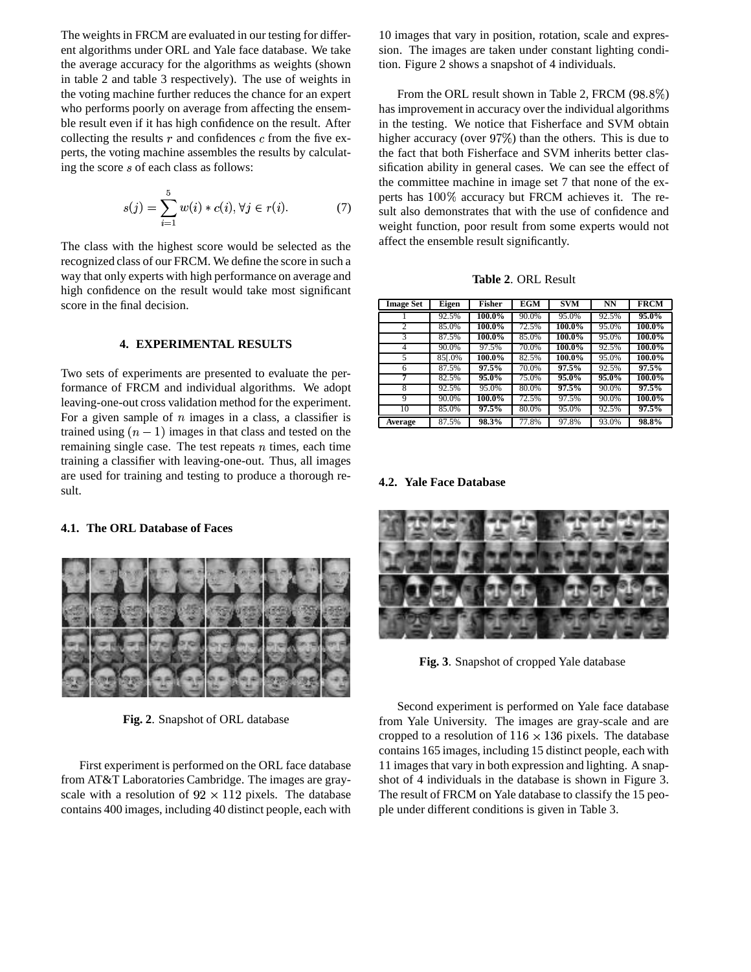The weights in FRCM are evaluated in our testing for different algorithms under ORL and Yale face database. We take the average accuracy for the algorithms as weights (shown in table 2 and table 3 respectively). The use of weights in the voting machine further reduces the chance for an expert who performs poorly on average from affecting the ensemble result even if it has high confidence on the result. After collecting the results  $r$  and confidences  $c$  from the five experts, the voting machine assembles the results by calculating the score  $s$  of each class as follows:

$$
s(j) = \sum_{i=1}^{5} w(i) * c(i), \forall j \in r(i).
$$
 (7)

The class with the highest score would be selected as the recognized class of our FRCM. We define the score in such a way that only experts with high performance on average and high confidence on the result would take most significant score in the final decision.

# **4. EXPERIMENTAL RESULTS**

Two sets of experiments are presented to evaluate the performance of FRCM and individual algorithms. We adopt leaving-one-out cross validation method for the experiment. For a given sample of  $n$  images in a class, a classifier is For a given sample of *n* images in a class, a classifier is trained using  $(n - 1)$  images in that class and tested on the remaining single case. The test repeats  $n$  times, each time training a classifier with leaving-one-out. Thus, all images are used for training and testing to produce a thorough result.

**4.1. The ORL Database of Faces**



**Fig. 2**. Snapshot of ORL database

First experiment is performed on the ORL face database from AT&T Laboratories Cambridge. The images are grayscale with a resolution of  $92 \times 112$  pixels. The database contains 400 images, including 40 distinct people, each with

10 images that vary in position, rotation, scale and expression. The images are taken under constant lighting condition. Figure 2 shows a snapshot of 4 individuals.

From the ORL result shown in Table 2, FRCM  $(98.8\%)$ has improvement in accuracy over the individual algorithms in the testing. We notice that Fisherface and SVM obtain higher accuracy (over  $97\%$ ) than the others. This is due to the fact that both Fisherface and SVM inherits better classification ability in general cases. We can see the effect of the committee machine in image set 7 that none of the experts has  $100\%$  accuracy but FRCM achieves it. The result also demonstrates that with the use of confidence and weight function, poor result from some experts would not affect the ensemble result significantly.

**Table 2**. ORL Result

| <b>Image Set</b> | Eigen  | <b>Fisher</b> | <b>EGM</b> | <b>SVM</b> | <b>NN</b> | <b>FRCM</b> |
|------------------|--------|---------------|------------|------------|-----------|-------------|
|                  | 92.5%  | $100.0\%$     | 90.0%      | 95.0%      | 92.5%     | 95.0%       |
| $\overline{c}$   | 85.0%  | 100.0%        | 72.5%      | 100.0%     | 95.0%     | 100.0%      |
| 3                | 87.5%  | 100.0%        | 85.0%      | 100.0%     | 95.0%     | 100.0%      |
| 4                | 90.0%  | 97.5%         | 70.0%      | 100.0%     | 92.5%     | 100.0%      |
| 5                | 851.0% | $100.0\%$     | 82.5%      | 100.0%     | 95.0%     | 100.0%      |
| 6                | 87.5%  | 97.5%         | 70.0%      | 97.5%      | 92.5%     | 97.5%       |
| 7                | 82.5%  | 95.0%         | 75.0%      | $95.0\%$   | 95.0%     | 100.0%      |
| 8                | 92.5%  | 95.0%         | 80.0%      | 97.5%      | 90.0%     | 97.5%       |
| 9                | 90.0%  | 100.0%        | 72.5%      | 97.5%      | 90.0%     | 100.0%      |
| 10               | 85.0%  | 97.5%         | 80.0%      | 95.0%      | 92.5%     | 97.5%       |
| <b>Average</b>   | 87.5%  | 98.3%         | 77.8%      | 97.8%      | 93.0%     | 98.8%       |

### **4.2. Yale Face Database**



**Fig. 3**. Snapshot of cropped Yale database

Second experiment is performed on Yale face database from Yale University. The images are gray-scale and are cropped to a resolution of  $116 \times 136$  pixels. The database contains 165 images, including 15 distinct people, each with 11 images that vary in both expression and lighting. A snapshot of 4 individuals in the database is shown in Figure 3. The result of FRCM on Yale database to classify the 15 people under different conditions is given in Table 3.